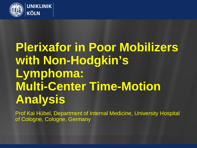

# **Plerixafor in Poor Mobilizers with Non-Hodgkin's Lymphoma: Multi-Center Time-Motion Analysis**

Prof Kai Hübel, Department of Internal Medicine, University Hospital of Cologne, Cologne, Germany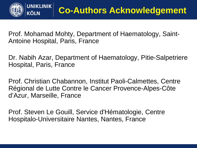

Prof. Mohamad Mohty, Department of Haematology, Saint-Antoine Hospital, Paris, France

Dr. Nabih Azar, Department of Haematology, Pitie-Salpetriere Hospital, Paris, France

Prof. Christian Chabannon, Institut Paoli-Calmettes, Centre Régional de Lutte Contre le Cancer Provence-Alpes-Côte d'Azur, Marseille, France

Prof. Steven Le Gouill, Service d'Hématologie, Centre Hospitalo-Universitaire Nantes, Nantes, France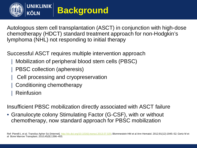

### **Background**

Autologous stem cell transplantation (ASCT) in conjunction with high-dose chemotherapy (HDCT) standard treatment approach for non-Hodgkin's lymphoma (NHL) not responding to initial therapy

Successful ASCT requires multiple intervention approach

- | Mobilization of peripheral blood stem cells (PBSC)
- PBSC collection (apheresis)
- Cell processing and cryopreservation
- | Conditioning chemotherapy
- **Reinfusion**

Insufficient PBSC mobilization directly associated with ASCT failure

• Granulocyte colony Stimulating Factor (G-CSF), with or without chemotherapy, now standard approach for PBSC mobilization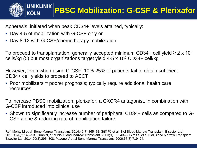

Apheresis initiated when peak CD34+ levels attained, typically:

- Day 4-5 of mobilization with G-CSF only or
- Day 8-12 with G-CSF/chemotherapy mobilization

To proceed to transplantation, generally accepted minimum CD34+ cell yield  $\geq 2 \times 10^6$ cells/kg (5) but most organizations target yield 4-5 x 106 CD34+ cell/kg

However, even when using G-CSF, 10%-25% of patients fail to obtain sufficient CD34+ cell yields to proceed to ASCT

• Poor mobilizers = poorer prognosis; typically require additional health care resources

To increase PBSC mobilization, plerixafor, a CXCR4 antagonist, in combination with G-CSF introduced into clinical use

• Shown to significantly increase number of peripheral CD34+ cells as compared to G-CSF alone & reducing rate of mobilization failure

Ref: Mohty M et al Bone Marrow Transplant. 2014;49(7):865–72. Stiff PJ et al. Biol Blood Marrow Transplant. Elsevier Ltd; 2011;17(8):1146–53. Gunn N, et al Biol Blood Marrow Transplant. 2003;9(10):643–8. Giralt S et al Biol Blood Marrow Transplant. Elsevier Ltd; 2014;20(3):295–308. Pavone V et al Bone Marrow Transplant. 2006;37(8):719–24.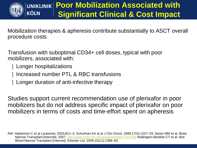

KÖLN

### **Poor Mobilization Associated with Significant Clinical & Cost Impact**

Mobilization therapies & apheresis contribute substantially to ASCT overall procedure costs

Transfusion with suboptimal CD34+ cell doses, typical with poor mobilizers, associated with:

- | Longer hospitalizations
- | Increased number PTL & RBC transfusions
- | Longer duration of anti-infective therapy

Studies support current recommendation use of plerixafor in poor mobilizers but do not address specific impact of plerixafor on poor mobilizers in terms of costs and time-effort spent on apheresis

Ref: Habannon C et al Leukemia. 2003;811–3. Schulman KA et al J Clin Oncol. 1999;17(4):1227–33; Sartor MM et al. Bone Marrow Transplant [Internet]. 2007. [http://www.ncbi.nlm.nih.gov/pubmed/17704793;](http://www.ncbi.nlm.nih.gov/pubmed/17704793) Wallington-Beddoe CT et al. Biol Blood Marrow Transplant [Internet]. Elsevier Ltd; 2009;15(11):1386–93.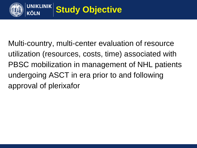

Multi-country, multi-center evaluation of resource utilization (resources, costs, time) associated with PBSC mobilization in management of NHL patients undergoing ASCT in era prior to and following approval of plerixafor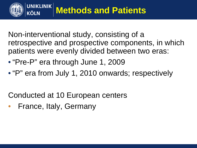

Non-interventional study, consisting of a retrospective and prospective components, in which patients were evenly divided between two eras:

- "Pre-P" era through June 1, 2009
- "P" era from July 1, 2010 onwards; respectively

Conducted at 10 European centers

• France, Italy, Germany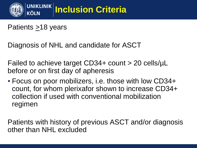

Patients  $\geq$ 18 years

Diagnosis of NHL and candidate for ASCT

Failed to achieve target CD34+ count > 20 cells/µL before or on first day of apheresis

• Focus on poor mobilizers, i.e. those with low CD34+ count, for whom plerixafor shown to increase CD34+ collection if used with conventional mobilization regimen

Patients with history of previous ASCT and/or diagnosis other than NHL excluded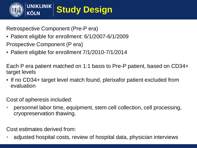

Retrospective Component (Pre-P era)

- Patient eligible for enrollment: 6/1/2007-6/1/2009 Prospective Component (P era)
- Patient eligible for enrollment 7/1/2010-7/1/2014

Each P era patient matched on 1:1 basis to Pre-P patient, based on CD34+ target levels

• If no CD34+ target level match found, plerixafor patient excluded from evaluation

Cost of apheresis included:

• personnel labor time, equipment, stem cell collection, cell processing, cryopreservation thawing.

Cost estimates derived from:

• adjusted hospital costs, review of hospital data, physician interviews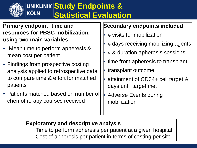

#### **Study Endpoints &**  KÖLN **Statistical Evaluation**

#### **Primary endpoint: time and resources for PBSC mobilization, using two main variables**

- Mean time to perform apheresis & mean cost per patient
- Findings from prospective costing analysis applied to retrospective data to compare time & effort for matched patients
- Patients matched based on number of chemotherapy courses received

#### **Secondary endpoints included**

- # visits for mobilization
- # days receiving mobilizing agents
- # & duration apheresis sessions
- time from apheresis to transplant
- transplant outcome
- attainment of CD34+ cell target & days until target met
- Adverse Events during mobilization

#### **Exploratory and descriptive analysis**

Time to perform apheresis per patient at a given hospital Cost of apheresis per patient in terms of costing per site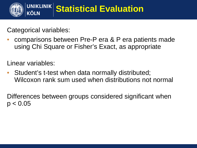

Categorical variables:

• comparisons between Pre-P era & P era patients made using Chi Square or Fisher's Exact, as appropriate

Linear variables:

Student's t-test when data normally distributed; Wilcoxon rank sum used when distributions not normal

Differences between groups considered significant when  $p < 0.05$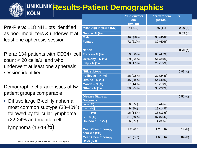#### UNIKLINIK Results-Patient Demographics KÖLN

Pre-P era: 118 NHL pts identified as poor mobilizers & underwent at least one apheresis session

P era: 134 patients with CD34+ cell count  $<$  20 cells/ $\mu$ l and who underwent at least one apheresis session identified

Demographic characteristics of two patient groups comparable

• Diffuse large B-cell lymphoma most common subtype (38-40%), followed by follicular lymphoma (22-24% and mantle cell lymphoma (13-14%)

|                                          | <b>Pre-plerixafor</b><br>era<br>$(n=118)$ | <b>Plerixafor era</b><br>$(n=134)$ | P<      |
|------------------------------------------|-------------------------------------------|------------------------------------|---------|
| <b>Mean Age in years (SD)</b>            | 54 (12)                                   | 56 (11)                            | 0.26(a) |
| Gender N (%)                             |                                           |                                    | 0.83(c) |
| <b>Male</b>                              | 46 (39%)                                  | 54 (40%)                           |         |
| <b>Female</b>                            | 72 (61%)                                  | 80 (60%)                           |         |
|                                          |                                           |                                    |         |
| <b>Nation</b>                            |                                           |                                    | 0.70(c) |
| France $- N$ (%)                         | 59 (50%)                                  | 63 (47%)                           |         |
| Germany – N (%)                          | 39 (33%)                                  | 51 (38%)                           |         |
| Italy – $N$ (%)                          | 20 (17%)                                  | 20 (15%)                           |         |
|                                          |                                           |                                    |         |
| <b>NHL subtype</b>                       |                                           |                                    | 0.93(c) |
| Follicular - N (%)                       | 26 (22%)                                  | 32 (24%)                           |         |
| Diffuse – N $(\%)$                       | 45 (38%)                                  | 54 (40%)                           |         |
| Mantle - N $(\sqrt[6]{6})$               | 17 (14%)                                  | 18 (13%)                           |         |
| Other $- N$ (%)                          | 30 (25%)                                  | 30 (22%)                           |         |
|                                          |                                           |                                    |         |
| Disease Stage at<br><b>Diagnosis</b>     |                                           |                                    | 0.51(c) |
| $1 - n$ (%)                              | 6(5%)                                     | 6(4%)                              |         |
| $II - n$ (%)                             | 9(8%)                                     | 19 (14%)                           |         |
| $III - n(\%)$                            | 16 (14%)                                  | 18 (13%)                           |         |
| $IV - n$ (%)                             | 81 (69%)                                  | 87 (65%)                           |         |
| Unknown $-$ n $(\%)$                     | 6(5%)                                     | 4(3%)                              |         |
|                                          |                                           |                                    |         |
| <b>Mean Chemotherapy</b><br>courses (SD) | 1.2(0.6)                                  | 1.2(0.6)                           | 0.14(b) |
| <b>Mean Chemotherapy</b><br>Days (SD)    | 4.2(5.7)                                  | 4.6(5.6)                           | 0.04(b) |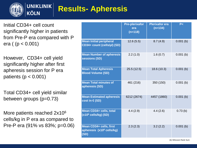

### **Results- Apheresis**

Initial CD34+ cell count significantly higher in patients from Pre-P era compared with P era ( (p < 0.001)

However, CD34+ cell yield significantly higher after first apheresis session for P era patients ( $p < 0.001$ )

Total CD34+ cell yield similar between groups (p=0.73)

More patients reached 2x10<sup>6</sup> cells/kg in P era as compared to Pre-P era (91% vs 83%; p=0.06)

|                                                                          | <b>Pre-plerixafor</b><br>era<br>$(n=118)$ | <b>Plerixafor era</b><br>$(n=134)$ | P<          |
|--------------------------------------------------------------------------|-------------------------------------------|------------------------------------|-------------|
| <b>Mean Initial peripheral</b><br>CD34+ count (cells/µl) (SD)            | 12.6(5.5)                                 | 8.7(4.9)                           | $0.001$ (b) |
| <b>Mean Number of apheresis</b><br>sessions (SD)                         | 2.2(1.0)                                  | 1.6(0.7)                           | $0.001$ (b) |
| <b>Mean Total Apheresis</b><br><b>Blood Volume (SD)</b>                  | 25.5(12.5)                                | 18.6 (10.3)                        | $0.001$ (b) |
| <b>Mean Total minutes of</b><br>apheresis (SD)                           | 461 (216)                                 | 350 (150)                          | $0.001$ (b) |
| <b>Mean Estimated apheresis</b><br>cost in $\epsilon$ (SD)               | 6212 (2674)                               | 4457 (1860)                        | $0.001$ (b) |
| Mean CD34+ cells, total<br>$(x10^6$ cells/kg) (SD)                       | 4.4(2.9)                                  | 4.4(2.6)                           | 0.73(b)     |
| Mean CD34+ cells, first<br>apheresis (x10 <sup>6</sup> cells/kg)<br>(SD) | 2.3(2.3)                                  | 3.2(2.2)                           | $0.001$ (b) |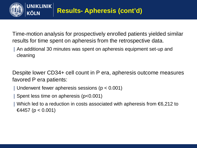

Time-motion analysis for prospectively enrolled patients yielded similar results for time spent on apheresis from the retrospective data.

| An additional 30 minutes was spent on apheresis equipment set-up and cleaning

Despite lower CD34+ cell count in P era, apheresis outcome measures favored P era patients:

- | Underwent fewer apheresis sessions (p < 0.001)
- | Spent less time on apheresis (p<0.001)
- | Which led to a reduction in costs associated with apheresis from €6,212 to €4457 (p < 0.001)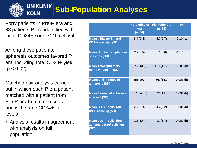#### **UNIKLINIK Sub-Population Analyses**

Forty patients in Pre-P era and 88 patients P era identified with initial CD34+ count ≤ 10 cells/µl

**KÖLN** 

Among these patients, apheresis outcomes favored P era, including total CD34+ yield  $(p < 0.02)$ 

Matched pair analysis carried out in which each P era patient matched with a patient from Pre-P era from same center and with same CD34+ cell levels

• Analysis results in agreement with analysis on full population

|                                                                          | <b>Pre-plerixafor</b><br>era<br>$(n=40)$ | <b>Plerixafor era</b><br>$(n=88)$ | P<          |
|--------------------------------------------------------------------------|------------------------------------------|-----------------------------------|-------------|
| <b>Mean Initial peripheral</b><br>CD34+ (cells/µl) (SD)                  | 6.4(3.3)                                 | 5.7(2.7)                          | 0.10(b)     |
| <b>Mean Number of apheresis</b><br>sessions (SD)                         | 2.2(0.9)                                 | 1.6(0.6)                          | $0.001$ (b) |
| <b>Mean Total apheresis</b><br>blood volume (I) (SD)                     | 27.2(13.9)                               | 19.6(10.7)                        | $0.001$ (b) |
| <b>MeanTotal minutes of</b><br>apheresis (SD)                            | 456(207)                                 | 361(151)                          | $0.001$ (b) |
| <b>Mean Estimated apheresis</b><br>cost in $\epsilon$ (SD)               | 6174(2455)                               | 4622(1845)                        | $0.001$ (b) |
| Mean CD34+ cells, total<br>$(x10^6 \text{ cells/kg})$ (SD)               | 3.2(2.0)                                 | 4.2(2.2)                          | $0.001$ (b) |
| Mean CD34+ cells, first<br>apheresis (x10 <sup>6</sup> cells/kg)<br>(SD) | 1.5(1.4)                                 | 2.7(1.4)                          | $0.001$ (b) |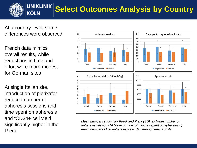

### **Select Outcomes Analysis by Country**

At a country level, some differences were observed

French data mimics overall results, while reductions in time and effort were more modest for German sites

At single Italian site, introduction of plerixafor reduced number of apheresis sessions and time spent on apheresis and tCD34+ cell yield significantly higher in the P era



*Mean numbers shown for Pre-P and P era (SD); a) Mean number of apheresis sessions b) Mean number of minutes spent on apheresis c) mean number of first apheresis yield. d) mean apheresis costs*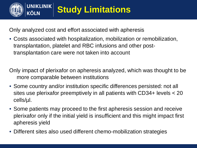

Only analyzed cost and effort associated with apheresis

• Costs associated with hospitalization, mobilization or remobilization, transplantation, platelet and RBC infusions and other posttransplantation care were not taken into account

Only impact of plerixafor on apheresis analyzed, which was thought to be more comparable between institutions

- Some country and/or institution specific differences persisted: not all sites use plerixafor preemptively in all patients with CD34+ levels < 20 cells/µl.
- Some patients may proceed to the first apheresis session and receive plerixafor only if the initial yield is insufficient and this might impact first apheresis yield
- Different sites also used different chemo-mobilization strategies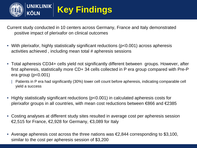

## **Key Findings**

Current study conducted in 10 centers across Germany, France and Italy demonstrated positive impact of plerixafor on clinical outcomes

- With plerixafor, highly statistically significant reductions (p<0.001) across apheresis activities achieved , including mean total # apheresis sessions
- Total apheresis CD34+ cells yield not significantly different between groups. However, after first apheresis, statistically more CD+ 34 cells collected in P era group compared with Pre-P era group (p<0.001)
	- | Patients in P era had significantly (30%) lower cell count before apheresis, indicating comparable cell yield a success
- Highly statistically significant reductions (p<0.001) in calculated apheresis costs for plerixafor groups in all countries, with mean cost reductions between €866 and €2385
- Costing analyses at different study sites resulted in average cost per apheresis session  $€2,515$  for France,  $€2,928$  for Germany,  $€3,089$  for Italy
- Average apheresis cost across the three nations was  $\epsilon$ 2,844 corresponding to \$3,100, similar to the cost per apheresis session of \$3,200